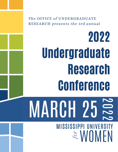The OFFICE of UNDERGRADUATE RESEARCH presents the 3rd annual

# 2022 Undergraduate Research Conference MARCH 25 2  $\qquad \qquad \Box$ 2 2 MISSISSIPPI UNIVERSITY  $\approx$  WOMEN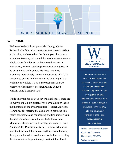

### **WELCOME**

Welcome to the 3rd campus-wide Undergraduate Research Conference. As we continue to assess, reflect, and evolve, we have taken the things you like about a virtual conference, and turned this year's experience into a hybrid one. In addition to the coveted in-person interaction, we've expanded presentation categories to be virtual or asynchronous. My hope is to keep providing more widely accessible options to all MUW students to pursue intellectual curiosity, using all the tools in our toolbelt. To all our presenters: you are examples of resilience, persistence, and dogged curiosity, and I applaud you!

While this year has dealt us several challenges, there are so many people I am grateful for. I would like to thank the members of the Undergraduate Research Advisory Committee for steering the decisions in planning this year's conference and for shaping exciting initiatives in the next semester. I would also like to thank Fant Memorial Library staff and faculty, particularly Dean Amanda Clay Powers and Kelsey Damms, who have invested time and labor into everything from thinking through what a hybrid conference looks like to creating the fantastic tote bags at the registration table. Thank



The mission of The W's Office of Undergraduate Research is to promote and celebrate undergraduate research, empower students to engage in original intellectual or creative work across the curriculum, and collaborate with faculty, staff, and community partners to create and sustain research opportunities.

Office: Fant Memorial Library Email: our@muw.edu Phone: (662) 329-7334 Web: muw.edu/our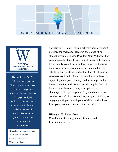



The mission of The W's Office of Undergraduate Research is to promote and celebrate undergraduate research, empower students to engage in original intellectual or creative work across the curriculum, and collaborate with faculty, staff, and community partners to create and sustain research opportunities.

Office: Fant Memorial Library Email: our@muw.edu Phone: (662) 329-7334 Web: muw.edu/our

you also to Dr. Scott Tollison, whose financial support provides the awards for research excellence of our student presenters, and to President Nora Miller for her commitment to student involvement in research. Thanks to the faculty volunteers who have agreed to dedicate their Friday afternoons to engaging their students in scholarly conversations, and to the student volunteers who have contributed their free time for the sake of supporting their peers. Finally, and most importantly, thank you to the students who are sharing the fruits of their labor with us here today – in spite of the challenges of the past 2 years. They are the reason we do what we do! I look forward to your presentations, to engaging with you in multiple modalities, and to learn from your past, current, and future pursuits.

**Hillary A. H. Richardson** Coordinator of Undergraduate Research and Information Literacy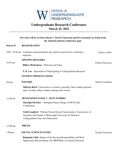

## **Undergraduate Research Conference March 25, 2022**

#### **All events will be in Fant Library's Tiered Classroom and live-streamed via Zoom from the AthenaCommons conference page**

#### **March 25 REGISTRATION**

| 9:00 - 10:30 am Volunteers and participants may check in and retrieve conference | Library Lobby |
|----------------------------------------------------------------------------------|---------------|
| materials                                                                        |               |

**OPENING REMARKS**

10:30 am

**Hillary Richardson** - Welcome and Notes

**T. K. Lee** - Importance of Participating in Undergraduate Research

#### **STUDENT PRESENTATIONS**

#### All day **POSTERS**

**Mikayla Reed**- Convenience or reckless spending? How mobile payment apps can help college students manage their money

#### **HUMANITIES PANEL I - MUW STORIES** 11:00 am

**Bayleigh Dawkins** - Attempted Name Change of MUW after **Coeducation** 

**Faith Langford** - Writing Toward Social Consciousness: Expressions of Sexuality and Gender in Mississippi University for Women's Undergraduate Fine Arts Publication

12:00 pm **BREAK**

**SOCIAL SCIENCES PANEL** 1:00 pm

> **Benjamin Little**- Impact of the Personal Responsibility and Work Opportunity Reconciliation Act (PRWORA) on Family Functions

Tiered Classroom

Tiered Classroom

Athena Commons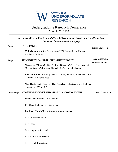

## **Undergraduate Research Conference March 25, 2022**

|                   | All events will be in Fant Library's Tiered Classroom and live-streamed via Zoom from                                                    |                                           |
|-------------------|------------------------------------------------------------------------------------------------------------------------------------------|-------------------------------------------|
|                   | the AthenaCommons conference page                                                                                                        |                                           |
| $1:30$ pm         | <b>STEM PANEL</b>                                                                                                                        | <b>Tiered Classroom</b>                   |
|                   | <b>Zithlaly Amezquita-Endogenous CFTR Expression in Human</b><br><b>Epithelial Cell Lines</b>                                            |                                           |
| $2:00 \text{ pm}$ | <b>HUMANITIES PANEL II - MISSISSIPPI STORIES</b>                                                                                         | <b>Tiered Classroom/</b><br>AthenaCommons |
|                   | <b>Margarete (Maggie) Ellis - "Sole and Separate": The Progression of</b><br>Married Women's Property Rights in the State of Mississippi |                                           |
|                   | <b>Emerald Potter</b> - Curating the Past: Telling the Story of Women at the<br><b>Columbus Air Force Base</b>                           |                                           |
|                   | Max Hartleroad - "We Got The": Jackson, Mississippi and the Punk<br>Rock Scene, 1976-1986                                                |                                           |
|                   | 3:30 - 4:00 pm CLOSING REMARKS AND AWARDS ANNOUNCEMENT                                                                                   | <b>Tiered Classroom</b>                   |
|                   | <b>Hillary Richardson</b> - Introductions                                                                                                |                                           |
|                   | Dr. Scott Tollison - Closing remarks                                                                                                     |                                           |
|                   | <b>President Nora Miller - Award Announcements</b>                                                                                       |                                           |
|                   | <b>Best Oral Presentation</b>                                                                                                            |                                           |
|                   | <b>Best Poster</b>                                                                                                                       |                                           |
|                   | Best Long-term Research                                                                                                                  |                                           |
|                   | <b>Best Short-term Research</b>                                                                                                          |                                           |
|                   | <b>Best Overall Presentation</b>                                                                                                         |                                           |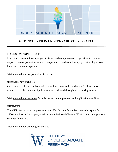

## **GET INVOLVED IN UNDERGRADUATE RESEARCH**

#### **HANDS-ON EXPERIENCE**

Find conferences, internships, publications, and campus research opportunities in your major! These opportunities can offer experiences (and sometimes pay) that will give you hands-on research experience.

Visit muw.edu/our/opportunities for more.

#### **SUMMER SCHOLARS**

Get course credit and a scholarship for tuition, room, and board to do faculty-mentored research over the summer. Applications are reviewed throughout the spring semester.

Visit muw.edu/our/summer for information on the program and application deadlines.

### **FUNDING**

The OUR lists on-campus programs that offer funding for student research. Apply for a \$500 award toward a project, conduct research through Federal Work-Study, or apply for a summer fellowship

Visit muw.edu/our/funding for details.

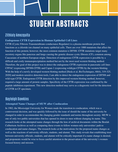# STUDENT ABSTRACTS

## **Zithlaly Amezquita**

### **Endogenous CFTR Expression in Human Epithelial Cell Lines**

CFTR (Cystic Fibrosis Transmembrane-conductance Regulator) is a plasma membrane protein that functions as a chloride ion channel on many epithelial cells. There are over 1000 mutations that affect the function of this protein; however, the most common mutation is DF508. CFTR mutations target many secretory organs like pancreas and lungs causing the genetic disease cystic fibrosis (CF), common among Caucasians of northern European origin. Detection of endogenous CFTR expression is possible by a difficult and costly immunoprecipitation method but not by the most used western blotting method. Therefore, the goal of this project was to detect the endogenous CFTR expression in pancreatic cell lines CFPAC (expressing DF508-CFTR) and Capan-1 (expressing wildtype-CFTR) by the western blotting. With the help of a newly developed western blotting method [Heda et al, BioTechniques, 68(6), 319-325, 2020] and modern sensitive detection tools, I am able to detect the endogenous expression of DF508 and wild-type CFTR. Endogenous CFTR detection by this improved western blotting method, however, required a large amount of protein samples. Specificity of the CFTR expression was confirmed by the peptide inhibition experiment. This new detection method may serve as a diagnostic tool for the detection of CFTR in CF specimen.

## **Bayleigh Dawkins**

### **Attempted Name Changes of MUW after Coeducation**

In 1982, the Mississippi University for Women made the transition to coeducation, which was a controversial decision, and was quickly followed by the issue of should the name of the university be changed in order to accommodate the changing gender standards and norms throughout society. MUW is one of only two public universities that has opened its doors to men without changing its name. This research looks at the attempted name changes through the lens of archival documents within the Beulah Culbertson Archives as well as comparing these events to fellow women-only universities' path to coeducation and name changes. The research looks at the motivations for the proposed name changes as well as the reactions of university officials, students, and alumni. This study reveals that establishing trust between university officials, students, and alumni will be critically important if a name change is desired, and proponents would be wise to focus careful attention to the preservation of the university's womenfocused history and mission.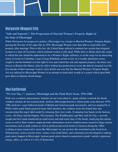## **Margarete (Maggie)** Ellis

### **"Sole and Separate": The Progression of Married Women's Property Rights in the State of Mississippi**

While Not known for progressive politics, Mississippi was a leader in Married Women's Property Rights, passing the first law of the same title in 1839. Mississippi Women were then able to retain their own property after marriage. Prior to this law, the United States utilized a common law system that relegated women to a state of Coverture, which rendered women civilly dead. While there is debate about the extent to which this law should be understood to be a Women's Rights initiative, it set the stage for an interesting series of events in Columbus. Laura Young Whitfield, an heir-at-law of a wealthy plantation owner, sought to sue her husband over her right to own and control her sole and separate property, the house now known as Baskerville Manor, after he sold it without her permission to cover the debt he incurred over the first decade of their marriage. Laura's story details one way that the Married Women's Property Rights Act was utilized by Mississippi Women in an attempt to retain their wealth in a system which upon birth gave them an inherent disadvantage.

## **Max Hartleroad**

#### **"We Got The...": Jackson, Mississippi and the Punk Rock Scene, 1976-1986**

Punk was a southern phenomenon. Scholars do not write about it—punk scholars overlook the South; southern scholars do not research punk. Jackson, Mississippi housed a vibrant punk scene between 1976- 1986. Jackson's scene followed trends of British and American punk movements, and was inspired by it. While earlier punk bands garnered major label attention, the southern scene developed later and circumvented the major label model by releasing their own works. Evaluating four bands on the Jackson scene—Ed Nasty and the Dopeds, The Germans, The Windbreakers and Men with No I.Q.s—provide insight into how punk manifested in small towns and mid-sized cities of the South. Analyzing this artistic scene as well as their creative output provides information on how southern artists reacted to larger artistic movements such as punk culture as well as political and social trends of America during the 1980s. Looking at more conservative areas like Mississippi we can see how this translated on the local level. Infrastructure, such as record stores, venues, even small labels, and community proved integral to making punk music happen in Mississippi. Jackson punk artists shared a connection to punk's artistic expression, energy, ethics, as well as it's love of destruction.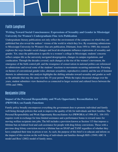## **Faith Langford**

**Writing Toward Social Consciousness: Expressions of Sexuality and Gender in Mississippi University for Women's Undergraduate Fine Arts Publication**

Undergraduate literary publications not only reflect the environment of the campuses on which they are published but also reveal the authors' visions of the world in which they live. By examining submissions to Mississippi University for Women's fine arts publication, Dilettanti, from 1954 to 1989, this research explores the ways broader social changes and local developments influence expressions of sexuality and gender. Yet, since the publication is specific to a women's college in Mississippi, students' concerns reflect campus life as the university navigated desegregation, changes in campus regulations, and coeducation. Through the decades covered, such changes as the rise of the women's movement, the emergence of the birth control pill, and the resurgence of conservatism in national politics are referenced in submissions and reveal some of the students' reactions to movements occurring nationwide. Focusing on themes of conventional gender roles, alternate sexualities, reproductive control, and the use of feminist rhetoric in submissions, this analysis highlights the shifting attitudes toward sexuality and gender as well as the attitudes that stay the same over this 35-year period. While the topics discussed change over the years, student submitters view themselves as connected to larger societal and cultural forces between the 1950s and 1980s.

## **Benjamin Little**

## **Impact of the Personal Responsibility and Work Opportunity Reconciliation Act (PRWORA) on Family Functions**

Family policy broadly encompasses everything the government does to promote individual and family well-being through policies that seek to improve the quality of life for individuals and their families. The Personal Responsibility and Work Opportunity Reconciliation Act (PRWORA) of 1996 (P.L. 104-193) requires work in exchange for time-limited assistance and a performance bonus to reward states for moving welfare recipients into jobs. The bill includes a provision known as Section 115 that imposes a lifetime ban on federal food and cash assistance for people with drug felony convictions. Those with a previous drug felony conviction receive a lifetime ban on SNAP and TANF regardless of whether they have completed their time in prison or not. As such, the purpose of this brief is to educate and inform on the impact of this section on the well-being of individuals and families through Hill's (1949) ABC-X model and Boss' (2002) model of family stress.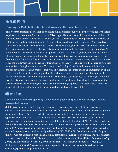## **Emerald Potter**

#### **Curating the Past: Telling the Story of Women at the Columbus Air Force Base**

This research project is the curation of an online digital exhibit about women who broke gender barriers as pilots at the Columbus Air Force Base in Mississippi. There are many different elements of this project including archival research, historical analysis, as well as expanding on the importance and meaning of public history and the digital humanities. Through the research done at the Columbus Air Force Base Archives it was evident that many of the women that came through the base shared common themes in their experiences in the air force. Many of the women contributed to this narrative at the Columbus Air Force Base, but the women of focus in this project were Mary Livingston, Cyndy Hubbard, and Kelly Flinn because of the connecting truths that they display in their lives as women making strides on the Columbus Air Force Base. The purpose of this project is to tell their stories in a way that allows viewers to see the similarities and significance of their struggles as they were challenging the gender barriers that were an issue throughout the military. The narrative of the digital exhibit is the outward half of the project, but the research and practices that went in to creating the exhibit is also an important part of this project. In order to be able to highlight all their stories and not take away from their importance, the stories are displayed in an online digital exhibit that is simple yet appealing, easy to navigate, and full of essential historical information. The tools and elements of Omeka.net allowed for the implementation of the best practices when creating the digital exhibit concerning its purpose and significance within the historical field and digital humanities, design methods, and overall accessibility.

## **Mikayla Reed**

## **Convenience or reckless spending? How mobile payment apps can help college students manage their money**

Mobile payment service (MPS) apps are often used because they are convenient and easy to use. However, some people may not understand how MPS use could impact day-to-day finances or long-term financial well-being. This study seeks to explore the use of MPS apps among college students. It is hypothesized that MPS app use is related to factors such as ease of use, convenience, and financial behaviors, such as monitoring spending or paying bills on time. In the fall of 2021, 122 college students from the Southeastern United States responded to an online Qualtrics questionnaire related to preferences among MPS apps, frequency of their use, and spending and bill-paying financial behaviors in the last 6 months. Responses were coded and analyzed by using IBM SPSS v 28. Correlations revealed frequent MPS use was not associated with financial skills, usefulness, convenience, awareness, or actual financial behaviors. However, financial skills were positively related to factors such as MPS usefulness (r = .62, p ≤ .001) and convenience (r = .58, p ≤ .001), and awareness of financial behaviors (r = .55, p ≤ .001). Findings suggest that MPS apps can be a tool to promote financial management behaviors such as controlling spending and paying bills on time.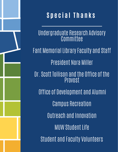

## **S p e c i a l T h a n k s**

Undergraduate Research Advisory **Committee Fant Memorial Library Faculty and Staff** President Nora Miller Dr.Scott Tollison and the Office of the Provost Office of Development and Alumni Campus Recreation Outreach and Innovation MUW Student Life Student and Faculty Volunteers